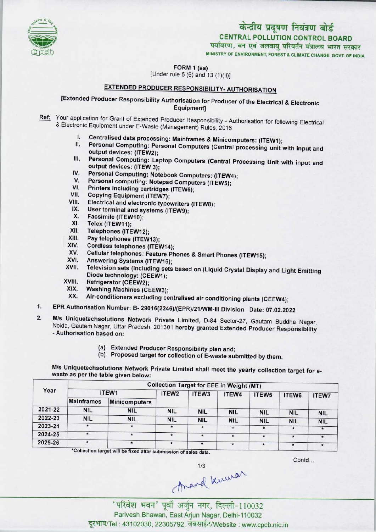

# CENTRAL POLLUTION CONTROL BOARD केन्द्रीय प्रदूषण नियंत्रण बोर्ड<br>CENTRAL POLLUTION CONTROL BOARD<br>पर्यावरण, वन एवं जलवायु परिवर्तन मंत्रालय भारत सरकार

MINISTRY OF ENVIRONMENT, FOREST S CLIMATE CHANGE GOVT. OF INDIA

FORM 1 (aa)

[Under rule 5 (6) and 13 (1)(ii)]

## EXTENDED PRODUCER RESPONSIBILITY- AUTHORISATION

[Extended Producer Responsibility Authorisation for Producer of the Electrical & Electronic Equipment]

- Ref: Your application for Grant of Extended Producer Responsibility Authorisation for following Electrical & Electronic Equipment under E-Waste (Management) Rules, 2016
	- I. Centralised data processing: Mainframes & Minicomputers: (ITEW1);<br>II. Personal Computing: Personal Computers (Central Integration)
	- Personal Computing: Personal Computers (Central processing unit with input and output devices: (ITEW2);
	- III. Personal Computing: Laptop Computers (Central Processing Unit with input and output devices: (ITEW 3); IV. Personal Computing: Laptop Computers (Central P<br>
	output devices: (ITEW 3);<br>
	IV. Personal Computing: Notebook Computers: (ITEW4);
	- output devices: (ITEW 3);<br>V. Personal Computing: Notebook Computers: (ITEW<br>V. Personal computing: Notepad Computers (ITEW5); IV. Personal Computing: Notebook Computers: (ITEW-<br>V. Personal computing: Notepad Computers (ITEW5);<br>VI. Printers including cartridges (ITEW6);<br>VII. Copying Equipment (ITEW7);
	-
	- VI. Printers including cartridges (ITEW6);<br>VII. Copying Equipment (ITEW7);<br>VIII. Electrical and electronic typewriters (I)
	-
	- VI. Printers including cartridges (ITEW6);<br>VII. Copying Equipment (ITEW7);<br>VIII. Electrical and electronic typewriters (ITEW8); VII. Copying Equipment (ITEW7);<br>III. Electrical and electronic typewriters<br>IX. User terminal and systems (ITEW9);
	- IX. User terminal and systems (ITEW9);<br>X. Facsimile (ITEW10);<br>XI. Telex (ITEW11);
	- X. Facsimile (ITEW10);<br>XI. Telex (ITEW11);<br>XII. Telephones (ITEW12
	-
	- XII. Telephones (ITEW12);<br>XIII. Pav telephones (ITEW)
	- XIII. Pay telephones (ITEW13);<br>XIV. Cordiess telephones (ITEV
	- XIV. Cordless telephones (ITEW14);<br>XV. Cellular telephones: Feature Ph
	- XIII. Pay telephones (ITEW13);<br>XIV. Cordiess telephones (ITEW14);<br>XV. Cellular telephones: Feature Phones & Smart Phones (ITEW15); XIV. Cordiess telephones (ITEW14)<br>XV. Cellular telephones: Feature F<br>XVI. Answering Systems (ITEW16);
	-
	- XV. Cellular telephones: Feature Phones & Smart Phones (ITEW15);<br>XVI. Answering Systems (ITEW16);<br>XVII. Television sets (including sets based on (Liquid Crystal Display and Light Emitting Diode technology: (CEEW1);<br>Refrigerator (CEEW2); XVII. Television sets (include<br>Diode technology: (CE<br>XVIII. Refrigerator (CEEW2);<br>XIX. Washing Machines (C
	-
	- XVIII. Refrigerator (CEEW2);<br>XIX. Washing Machines (CEEW3);<br>XX. Air-conditioners excluding ce
	- Air-conditioners excluding centralised air conditioning plants (CEEW4);
- 1. EPR Authorisation Number: B- 29016(2246)/(EPR)/21/WM-III Division Date: 07.02.2022
- M/s Uniquetechsolutions Network Private Limited, D-84 Sector-27, Gautam Buddha Nagar, Noida, Gautam Nagar, Uttar Pradesh, 201301 hereby granted Extended Producer Responsibility - Authorisation based on:
	- (a)Extended Producer Responsibility plan and;
	- (b) Proposed target for collection of E-waste submitted by them.

M/s Uniquetechsolutions Network Private Limited shall meet the yearly collection target for ewaste as per the table given below:

| ITEW1             |                      | ITEW <sub>2</sub> | ITEW <sub>3</sub> | ITEW4         |                          |                                                                                                  | <b>ITEW7</b>                      |  |  |
|-------------------|----------------------|-------------------|-------------------|---------------|--------------------------|--------------------------------------------------------------------------------------------------|-----------------------------------|--|--|
| <b>Mainframes</b> | <b>Minicomputers</b> |                   |                   |               |                          |                                                                                                  |                                   |  |  |
| <b>NIL</b>        | <b>NIL</b>           | <b>NIL</b>        | <b>NIL</b>        |               |                          |                                                                                                  | <b>NIL</b>                        |  |  |
| <b>NIL</b>        | <b>NIL</b>           | <b>NIL</b>        | <b>NIL</b>        |               |                          |                                                                                                  | <b>NIL</b>                        |  |  |
| $\pmb{\star}$     | $\star$              |                   |                   |               | $\star$                  | $\star$                                                                                          |                                   |  |  |
| $\star$           | $\star$              |                   | $\star$           | $\star$       | $\star$                  | $\star$                                                                                          |                                   |  |  |
|                   | $\star$              |                   | $\star$           | $\pmb{\star}$ | $\star$                  | $\star$                                                                                          |                                   |  |  |
|                   |                      |                   |                   |               | <b>NIL</b><br><b>NIL</b> | <b>Collection Target for EEE in Weight (MT)</b><br>ITEW <sub>5</sub><br><b>NIL</b><br><b>NIL</b> | ITEW6<br><b>NIL</b><br><b>NIL</b> |  |  |

\*Collection target will be fixed after submission of sales data.

Contd...

1/3<br>Aravel Kuwar<br>Titaेश भवन' पूर्वी अर्जुन नगर, दिल्ली-110032

Parivesh Bhawan, EastArjun Nagar, Delhi-110032 दूरभाष/Tel: 43102030, 22305792, वेबसाईट/Website : www.cpcb.nic.in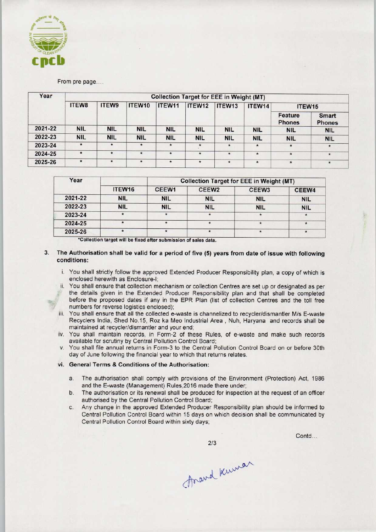

From pre page....

| Year    | <b>Collection Target for EEE in Weight (MT)</b> |            |            |            |            |            |            |                          |                               |  |
|---------|-------------------------------------------------|------------|------------|------------|------------|------------|------------|--------------------------|-------------------------------|--|
|         | ITEW8                                           | ITEW9      | ITEW10     | ITEW11     | ITEW12     | ITEW13     | ITEW14     | ITEW <sub>15</sub>       |                               |  |
|         |                                                 |            |            |            |            |            |            | Feature<br><b>Phones</b> | <b>Smart</b><br><b>Phones</b> |  |
| 2021-22 | <b>NIL</b>                                      | <b>NIL</b> | <b>NIL</b> | <b>NIL</b> | <b>NIL</b> | <b>NIL</b> | <b>NIL</b> | <b>NIL</b>               | <b>NIL</b>                    |  |
| 2022-23 | <b>NIL</b>                                      | <b>NIL</b> | <b>NIL</b> | <b>NIL</b> | <b>NIL</b> | <b>NIL</b> | <b>NIL</b> | <b>NIL</b>               | <b>NIL</b>                    |  |
| 2023-24 | $\star$                                         | $\star$    | $\star$    | $\bullet$  | $\star$    | $\star$    | $\star$    | $\star$                  | $\star$                       |  |
| 2024-25 | $\star$                                         | $\star$    | $\star$    | $\star$    | $\star$    | $\star$    | $\star$    | $\star$                  | $\star$                       |  |
| 2025-26 | $\pmb{\star}$                                   | $\star$    | $\star$    | $\star$    | $\star$    | $\star$    | $\star$    | $\star$                  | $\star$                       |  |

| Year    |                    | <b>Collection Target for EEE in Weight (MT)</b> |                   |                   |            |  |  |  |
|---------|--------------------|-------------------------------------------------|-------------------|-------------------|------------|--|--|--|
|         | ITEW <sub>16</sub> | CEEW1                                           | CEEW <sub>2</sub> | CEEW <sub>3</sub> | CEEW4      |  |  |  |
| 2021-22 | <b>NIL</b>         | <b>NIL</b>                                      | <b>NIL</b>        | <b>NIL</b>        | <b>NIL</b> |  |  |  |
| 2022-23 | <b>NIL</b>         | <b>NIL</b>                                      | <b>NIL</b>        | <b>NIL</b>        | <b>NIL</b> |  |  |  |
| 2023-24 |                    |                                                 |                   |                   |            |  |  |  |
| 2024-25 |                    |                                                 |                   |                   |            |  |  |  |
| 2025-26 |                    |                                                 |                   |                   |            |  |  |  |

\*Collection target will be fixed after submission of sales data.

### 3. The Authorisation shall be valid for a period of five (5) years from date of issue with following conditions:

- i. You shall strictly follow the approved Extended Producer Responsibility plan, a copy of which is enclosed herewith as Enclosure-I;
- ii. You shall ensure that collection mechanism or collection Centres are set up or designated as per<br>the details given in the Extended Producer Responsibility plan and that shall be completed<br>before the proposed dates if a the details given in the Extended Producer Responsibility plan and that shall be completed before the proposed dates if any in the EPR Plan (list of collection Centres and the toll free numbers for reverse logistics enclosed);
	- iii. You shall ensure that all the collected e-waste is channelized to recycler/dismantler M/s E-waste Recyclers India, Shed No.15, Roz ka Meo Industrial Area , Nuh, Haryana and records shall be maintained at recycler/dismantler and your end;
	- iv. You shall maintain records, in Form-2 of these Rules, of e-waste and make such records available for scrutiny by Central Pollution Control Board;
	- v. You shall file annual returns in Form-3 to the Central Pollution Control Board on or before 30th day of June following the financial year to which that returns relates.

#### vi. General Terms & Conditions of the Authorisation:

- a.The authorisation shall comply with provisions of the Environment (Protection) Act, <sup>1986</sup> and the E-waste (Management) Rules,2016 made there under;
- b.The authorisation or its renewal shall be produced for inspection at the request of an officer authorised by the Central Pollution Control Board;
- c.Any change in the approved Extended Producer Responsibility plan should be informed to Central Pollution Control Board within 15 days on which decision shall be communicated by Central Pollution Control Board within sixty days;

Contd...

Arand Kuman

 $2/3$